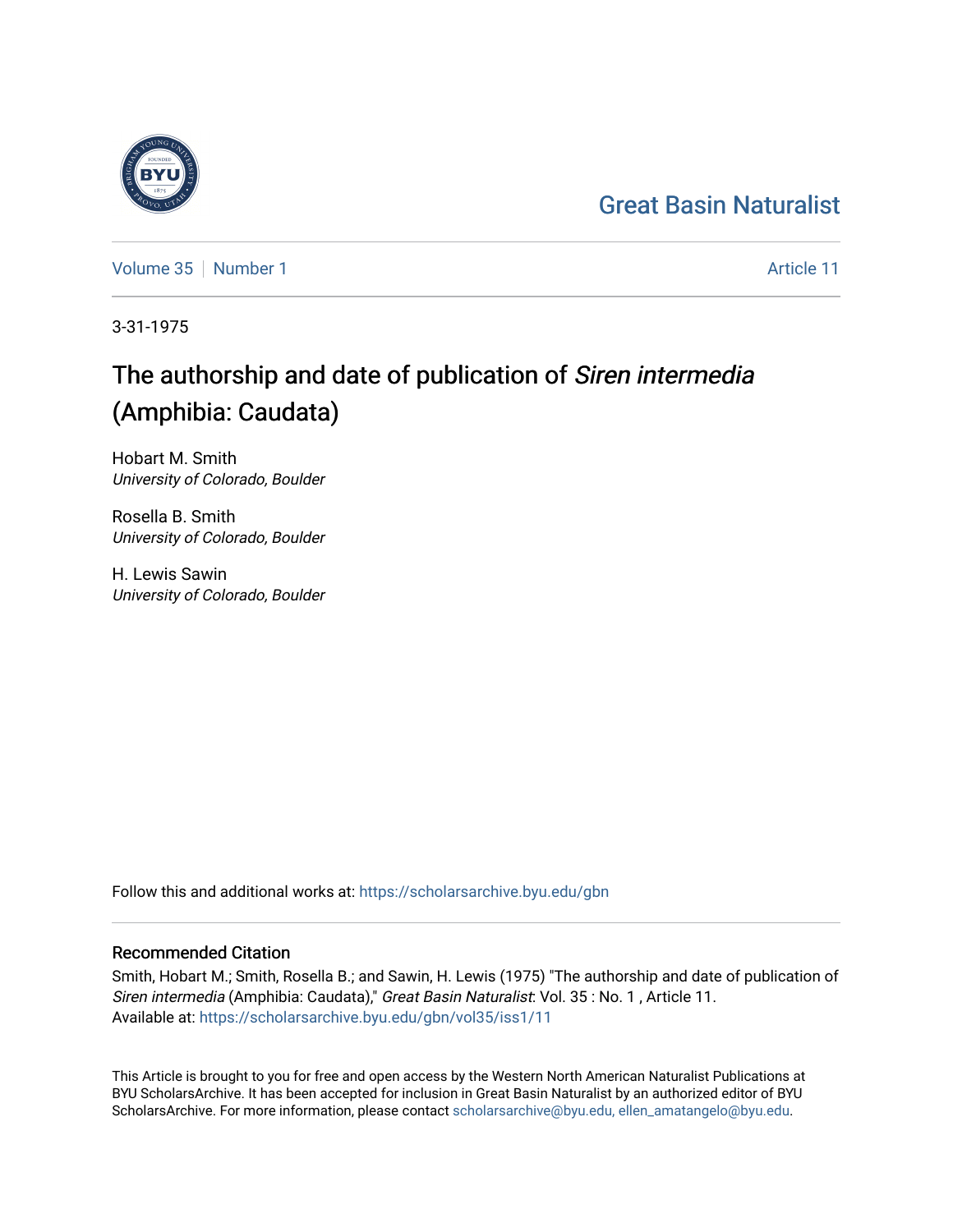## [Great Basin Naturalist](https://scholarsarchive.byu.edu/gbn)

[Volume 35](https://scholarsarchive.byu.edu/gbn/vol35) [Number 1](https://scholarsarchive.byu.edu/gbn/vol35/iss1) Article 11

3-31-1975

# The authorship and date of publication of Siren intermedia (Amphibia: Caudata)

Hobart M. Smith University of Colorado, Boulder

Rosella B. Smith University of Colorado, Boulder

H. Lewis Sawin University of Colorado, Boulder

Follow this and additional works at: [https://scholarsarchive.byu.edu/gbn](https://scholarsarchive.byu.edu/gbn?utm_source=scholarsarchive.byu.edu%2Fgbn%2Fvol35%2Fiss1%2F11&utm_medium=PDF&utm_campaign=PDFCoverPages) 

## Recommended Citation

Smith, Hobart M.; Smith, Rosella B.; and Sawin, H. Lewis (1975) "The authorship and date of publication of Siren intermedia (Amphibia: Caudata)," Great Basin Naturalist: Vol. 35 : No. 1 , Article 11. Available at: [https://scholarsarchive.byu.edu/gbn/vol35/iss1/11](https://scholarsarchive.byu.edu/gbn/vol35/iss1/11?utm_source=scholarsarchive.byu.edu%2Fgbn%2Fvol35%2Fiss1%2F11&utm_medium=PDF&utm_campaign=PDFCoverPages) 

This Article is brought to you for free and open access by the Western North American Naturalist Publications at BYU ScholarsArchive. It has been accepted for inclusion in Great Basin Naturalist by an authorized editor of BYU ScholarsArchive. For more information, please contact [scholarsarchive@byu.edu, ellen\\_amatangelo@byu.edu.](mailto:scholarsarchive@byu.edu,%20ellen_amatangelo@byu.edu)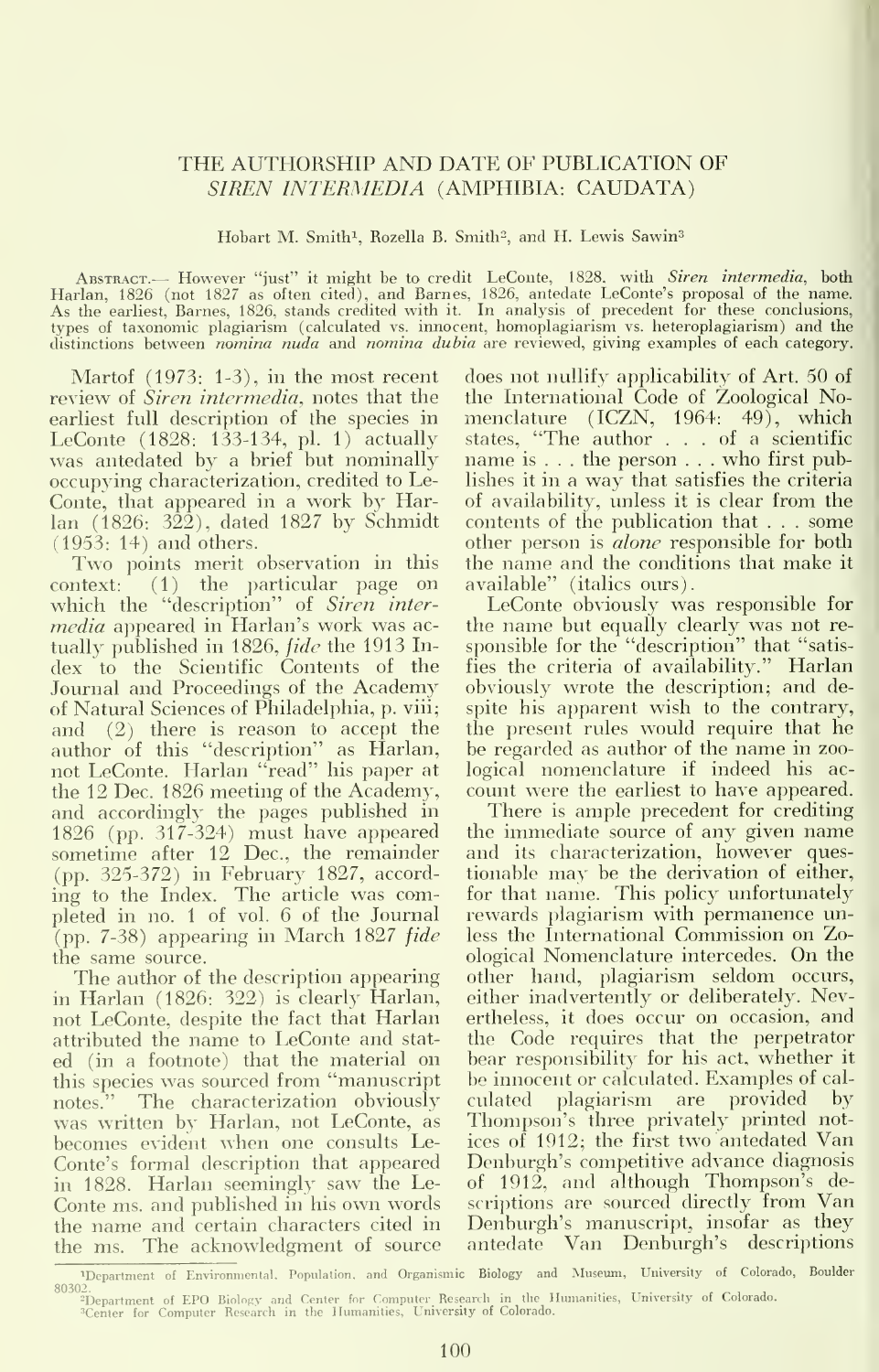### THE AUTHORSHIP AND DATE OF PUBLICATION OF SIREN INTERMEDIA (AMPHIBIA: CAUDATA)

Hobart M. Smith<sup>1</sup>, Rozella B. Smith<sup>2</sup>, and H. Lewis Sawin<sup>3</sup>

ABSTRACT.— However "just" it might be to credit LeConte, 1828, with *Siren intermedia*, both Harlan, 1826 (not 1827 as often cited), and Barnes, 1826, antedate LeConte's proposal of the name.<br>As the earliest, Barnes, 1826, types of taxonomic plagiarism (calculated vs. innocent, homoplagiarism vs. heteroplagiarism) and the distinctions between nomina nuda and nomina dubia are reviewed, giving examples of each category.

Martof (1973: 1-3), in the most recent review of *Siren intermedia*, notes that the earliest full description of the species in LeConte (1828: 133-134, pi. 1) actually was antedated by a brief but nominally occupying characterization, credited to Le-Conte, that appeared in a work by Harlan (1826: 322), dated 1827 by Schmidt

(1953: 14) and others. Two points merit observation in this context: (1) the particular page on which the "description" of Siren intermedia appeared in Harlan's work was ac tually published in 1826, fide the 1913 Index to the Scientific Contents of the Journal and Proceedings of the Academy of Natural Sciences of Philadelphia, p. viii; and (2) there is reason to accept the author of this "description" as Harlan, not LeConte. Harlan "read" his paper at the 12 Dec. 1826 meeting of the Academy, and accordingly- the pages published in 1826 (pp. 317-324) must have appeared sometime after 12 Dec, the remainder (pp. 325-372) in February 1827, accord ing to the Index. The article was completed in no. <sup>1</sup> of vol. 6 of the Journal  $(pp. 7-38)$  appearing in March 1827 fide the same source.

The author of the description appearing in Harlan (1826: 322) is clearly Harlan, not LeConte, despite the fact that Harlan attributed the name to LeConte and stat ed (in a footnote) that the material on this species was sourced from "manuscript notes." The characterization obviously was written by Harlan, not LeConte, as becomes evident when one consults Le-Conte's formal description that appeared in 1828. Harlan seemingly saw the Le- Conte ms. and published in his own words the name and certain characters cited in the ms. The acknowledgment of source

does not nullify applicability of Art. 50 of the International Code of Zoological Nomenclature (ICZN, 1964: 49), which states, "The author ... of <sup>a</sup> scientific name is . . . the person . . . who first publishes it in a way that satisfies the criteria of availability, unless it is clear from the contents of the publication that . . .some other person is *alone* responsible for both the name and the conditions that make it available" (italics ours).

LeConte obviously was responsible for the name but equally clearly was not re sponsible for the "description" that "satisfies the criteria of availability." Harlan obviously wrote the description; and despite his apparent wish to the contrary, the present rules would require that he be regarded as author of the name in zoological nomenclature if indeed his ac count were the earliest to have appeared.

There is ample precedent for crediting the immediate source of any given name and its characterization, however questionable may be the derivation of either, for that name. This policy unfortunately rewards plagiarism with permanence unless the International Commission on Zoological Nomenclature intercedes. On the other hand, plagiarism seldom occurs, either inadvertently or deliberately. Nevertheless, it does occur on occasion, and the Code requires that the perpetrator bear responsibility for his act, whether it be innocent or calculated. Examples of cal culated plagiarism are provided by Thompson's three privately printed notices of 1912; the first two antedated Van Denburgh's competitive advance diagnosis of 1912, and although Thompson's descriptions are sourced directly from Van Denburgh's manuscript, insofar as they antedate Van Denburgh's descriptions

<sup>&#</sup>x27;Department of Environmental. Population, and Organismic Biology and Museum, University of Colorado, Boulder

<sup>&</sup>lt;sup>2</sup>Department of EPO Biology and Center for Computer Research in the Humanities, University of Colorado.<br><sup>3</sup>Center for Computer Research in the Humanities, Univer**sity of Color**ado.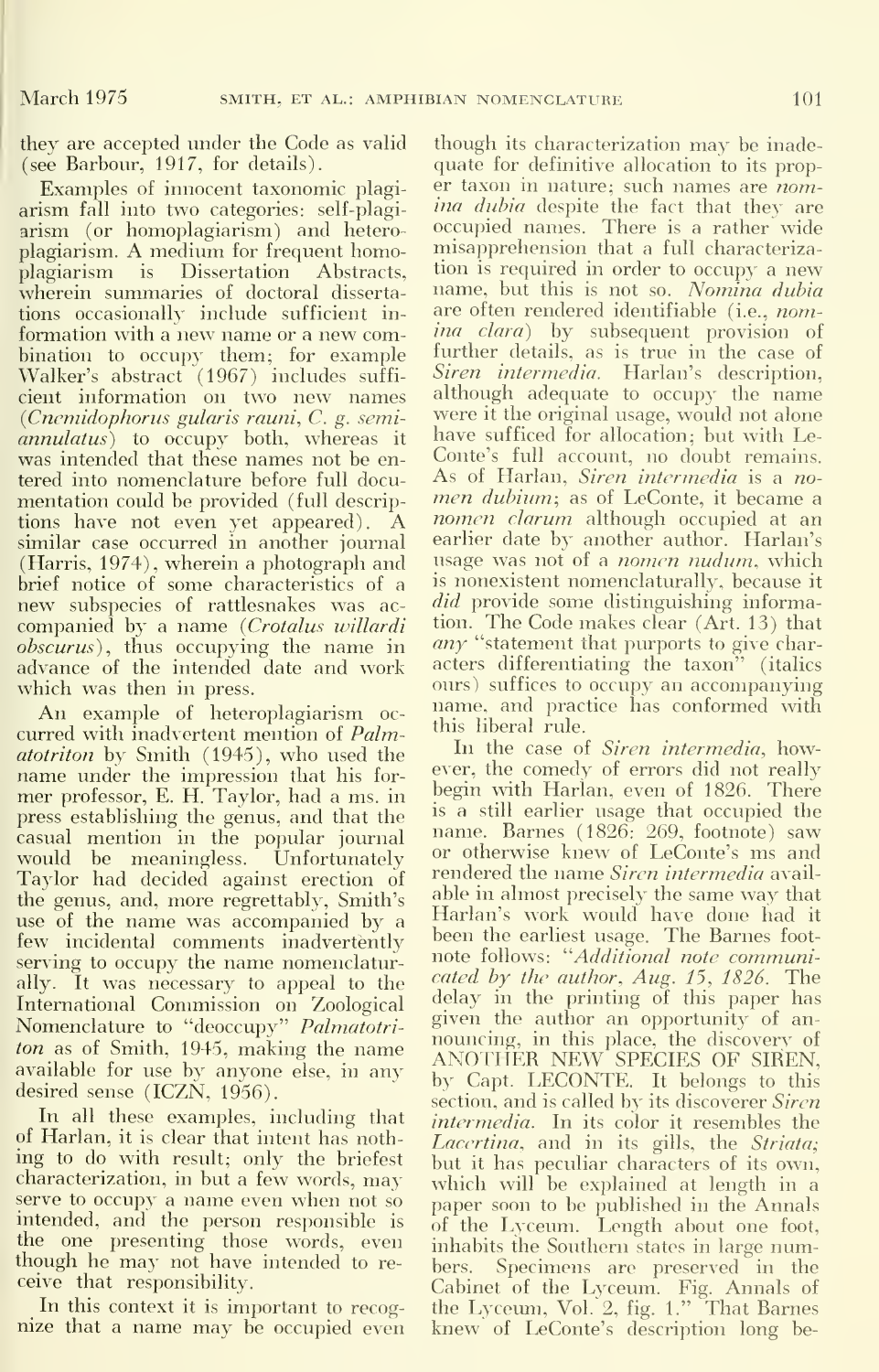they are accepted under the Code as valid (see Barbour, 1917, for details).

Examples of innocent taxonomic plagi arism fall into two categories: self-plagi arism (or homoplagiarism) and hetero plagiarism. A medium for frequent homoplagiarism is Dissertation Abstracts, wherein summaries of doctoral disserta tions occasionally include sufficient in formation with <sup>a</sup> new name or a new combination to occupy them; for example Walker's abstract (1967) includes suffi cient information on two new names  $(Cn$ enidophorus gularis rauni,  $C$ . g. semiannulatus) to occupy both, whereas it was intended that these names not be entered into nomenclature before full docu-<br>mentation could be provided (full description that is a function it became a<br>mentation could be provided (full description in dubium; as of LeConte, it became a mentation could be provided (full descriptions have not even yet appeared). A similar case occurred in another journal (Harris, 1974), wherein a photograph and brief notice of some characteristics of a new subspecies of rattlesnakes was ac companied by a name (Crotalus willardi obscurus), thus occupying the name in advance of the intended date and work which was then in press.

An example of heteroplagiarism oc curred with inadvertent mention of Palmatotriton by Smith (1945), who used the name under the impression that his for-<br>mer professor, E. H. Taylor, had a ms. in press establishing the genus, and that the casual mention in the popular journal would be meaningless. Unfortunately Taylor had decided against erection of the genus, and, more regrettably. Smith's use of the name was accompanied by <sup>a</sup> few incidental comments inadvertently serving to occupy the name nomenclaturally. It was necessary to appeal to the International Commission on Zoological Nomenclature to "deoccupy" Palmatotriton as of Smith, 1945, making the name available for use by anyone else, in any desired sense (ICZN, 1956).

In all these examples, including that of Harlan, it is clear that intent has nothing to do with result; only the briefest characterization, in but <sup>a</sup> few words, may serve to occupy <sup>a</sup> name even when not so intended, and the person responsible is the one presenting those words, even  $\frac{1}{10}$  inh though he may not have intended to receive that responsibility.

In this context it is important to recog nize that <sup>a</sup> name may be occupied even

though its characterization may be inade quate for definitive allocation to its proper taxon in nature; such names are nomina dubia despite the fact that they are occupied names. There is a rather wide misapprehension that a full characterization is required in order to occupy <sup>a</sup> new name, but this is not so. Nomina dubia are often rendered identifiable (i.e., nomina clara) by subsequent provision of further details, as is true in the case of Siren intermedia. Harlan's description, although adequate to occupy the name were it the original usage, would not alone have sufficed for allocation; but with Le-Conte's full account, no doubt remains. nomen clarum although occupied at an earlier date by another author. Harlan's usage was not of a *nomen nudum*, which is nonexistent nomenclaturally, because itdid provide some distinguishing information. The Code makes clear (Art. 13) that  $any$  "statement that purports to give characters differentiating the taxon" (italics ours) suffices to occupy an accompanying name, and practice has conformed with this liberal rule.

In the case of *Siren intermedia*, however, the comedy of errors did not really begin with Harlan, even of 1826. There is a still earlier usage that occupied the name. Barnes (1826: 269, footnote) saw or otherwise knew of LeConte's ms and rendered the name Siren intermedia available in almost precisely the same way that Harlan's work would have done had it been the earliest usage. The Barnes foot note follows: ''Additional note communicated by the author, Aug. 15, 1826. The delay in the printing of this paper has given the author an opportunity of an nouncing, in this place, the discovery of ANOTHER NEW SPECIES OF SIREN, by Capt. LECONTE. It belongs to this section, and is called by its discoverer Siren intermedia. In its color it resembles the Lacertina, and in its gills, the Striata; but it has peculiar characters of its own, which will be explained at length in a paper soon to be published in the Annals of the Lyceum. Length about one foot, inhabits the Southern states in large numbers. Specimens are preserved in the Cabinet of the Lyceum. Fig. Annals of<br>the Lyceum, Vol. 2, fig. 1." That Barnes knew of LeConte's description long be-